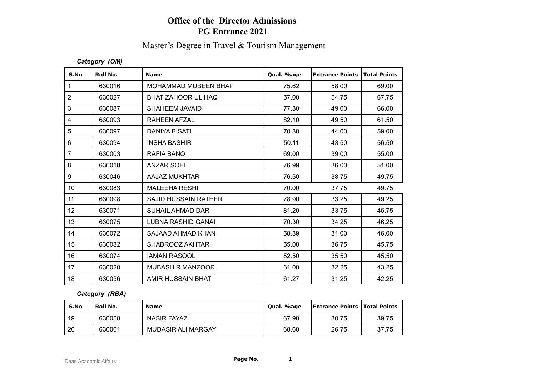# **Office of the Director Admissions PG Entrance 2021**

# Master's Degree in Travel & Tourism Management

### *Category (OM)*

| S.No           | Roll No. | <b>Name</b>                 | Qual. %age | <b>Entrance Points</b> | <b>Total Points</b> |
|----------------|----------|-----------------------------|------------|------------------------|---------------------|
| $\mathbf{1}$   | 630016   | <b>MOHAMMAD MUBEEN BHAT</b> | 75.62      | 58.00                  | 69.00               |
| $\overline{2}$ | 630027   | BHAT ZAHOOR UL HAQ          | 57.00      | 54.75                  | 67.75               |
| 3              | 630087   | SHAHEEM JAVAID              | 77.30      | 49.00                  | 66.00               |
| 4              | 630093   | RAHEEN AFZAL                | 82.10      | 49.50                  | 61.50               |
| 5              | 630097   | <b>DANIYA BISATI</b>        | 70.88      | 44.00                  | 59.00               |
| 6              | 630094   | <b>INSHA BASHIR</b>         | 50.11      | 43.50                  | 56.50               |
| $\overline{7}$ | 630003   | RAFIA BANO                  | 69.00      | 39.00                  | 55.00               |
| 8              | 630018   | <b>ANZAR SOFI</b>           | 76.99      | 36.00                  | 51.00               |
| 9              | 630046   | AAJAZ MUKHTAR               | 76.50      | 38.75                  | 49.75               |
| 10             | 630083   | <b>MALEEHA RESHI</b>        | 70.00      | 37.75                  | 49.75               |
| 11             | 630098   | <b>SAJID HUSSAIN RATHER</b> | 78.90      | 33.25                  | 49.25               |
| 12             | 630071   | SUHAIL AHMAD DAR            | 81.20      | 33.75                  | 46.75               |
| 13             | 630075   | LUBNA RASHID GANAI          | 70.30      | 34.25                  | 46.25               |
| 14             | 630072   | SAJAAD AHMAD KHAN           | 58.89      | 31.00                  | 46.00               |
| 15             | 630082   | SHABROOZ AKHTAR             | 55.08      | 36.75                  | 45.75               |
| 16             | 630074   | <b>IAMAN RASOOL</b>         | 52.50      | 35.50                  | 45.50               |
| 17             | 630020   | <b>MUBASHIR MANZOOR</b>     | 61.00      | 32.25                  | 43.25               |
| 18             | 630056   | AMIR HUSSAIN BHAT           | 61.27      | 31.25                  | 42.25               |

#### *Category (RBA)*

| S.No | <b>Roll No.</b> | <b>Name</b>        | Qual. %age | <b>Entrance Points   Total Points</b> |       |
|------|-----------------|--------------------|------------|---------------------------------------|-------|
| 19   | 630058          | <b>NASIR FAYAZ</b> | 67.90      | 30.75                                 | 39.75 |
| 20   | 630061          | MUDASIR ALI MARGAY | 68.60      | 26.75                                 | 37.75 |